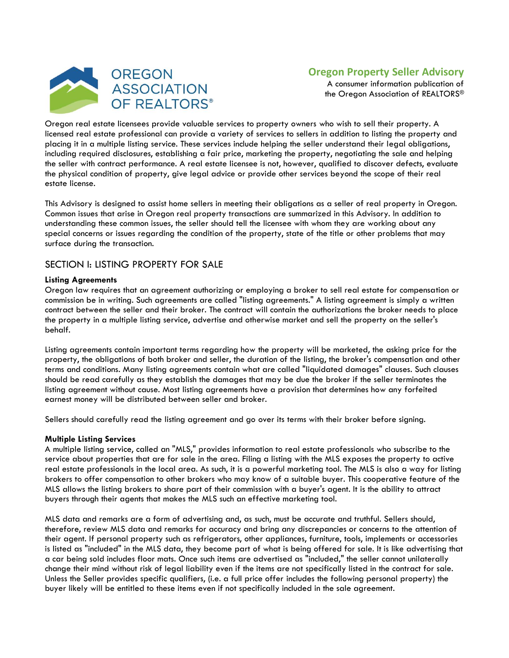

# **Oregon Property Seller Advisory**

A consumer information publication of the Oregon Association of REALTORS®

Oregon real estate licensees provide valuable services to property owners who wish to sell their property. A licensed real estate professional can provide a variety of services to sellers in addition to listing the property and placing it in a multiple listing service. These services include helping the seller understand their legal obligations, including required disclosures, establishing a fair price, marketing the property, negotiating the sale and helping the seller with contract performance. A real estate licensee is not, however, qualified to discover defects, evaluate the physical condition of property, give legal advice or provide other services beyond the scope of their real estate license.

This Advisory is designed to assist home sellers in meeting their obligations as a seller of real property in Oregon. Common issues that arise in Oregon real property transactions are summarized in this Advisory. In addition to understanding these common issues, the seller should tell the licensee with whom they are working about any special concerns or issues regarding the condition of the property, state of the title or other problems that may surface during the transaction.

# SECTION I: LISTING PROPERTY FOR SALE

#### **Listing Agreements**

Oregon law requires that an agreement authorizing or employing a broker to sell real estate for compensation or commission be in writing. Such agreements are called "listing agreements." A listing agreement is simply a written contract between the seller and their broker. The contract will contain the authorizations the broker needs to place the property in a multiple listing service, advertise and otherwise market and sell the property on the seller's behalf.

Listing agreements contain important terms regarding how the property will be marketed, the asking price for the property, the obligations of both broker and seller, the duration of the listing, the broker's compensation and other terms and conditions. Many listing agreements contain what are called "liquidated damages" clauses. Such clauses should be read carefully as they establish the damages that may be due the broker if the seller terminates the listing agreement without cause. Most listing agreements have a provision that determines how any forfeited earnest money will be distributed between seller and broker.

Sellers should carefully read the listing agreement and go over its terms with their broker before signing.

#### **Multiple Listing Services**

A multiple listing service, called an "MLS," provides information to real estate professionals who subscribe to the service about properties that are for sale in the area. Filing a listing with the MLS exposes the property to active real estate professionals in the local area. As such, it is a powerful marketing tool. The MLS is also a way for listing brokers to offer compensation to other brokers who may know of a suitable buyer. This cooperative feature of the MLS allows the listing brokers to share part of their commission with a buyer's agent. It is the ability to attract buyers through their agents that makes the MLS such an effective marketing tool.

MLS data and remarks are a form of advertising and, as such, must be accurate and truthful. Sellers should, therefore, review MLS data and remarks for accuracy and bring any discrepancies or concerns to the attention of their agent. If personal property such as refrigerators, other appliances, furniture, tools, implements or accessories is listed as "included" in the MLS data, they become part of what is being offered for sale. It is like advertising that a car being sold includes floor mats. Once such items are advertised as "included," the seller cannot unilaterally change their mind without risk of legal liability even if the items are not specifically listed in the contract for sale. Unless the Seller provides specific qualifiers, (i.e. a full price offer includes the following personal property) the buyer likely will be entitled to these items even if not specifically included in the sale agreement.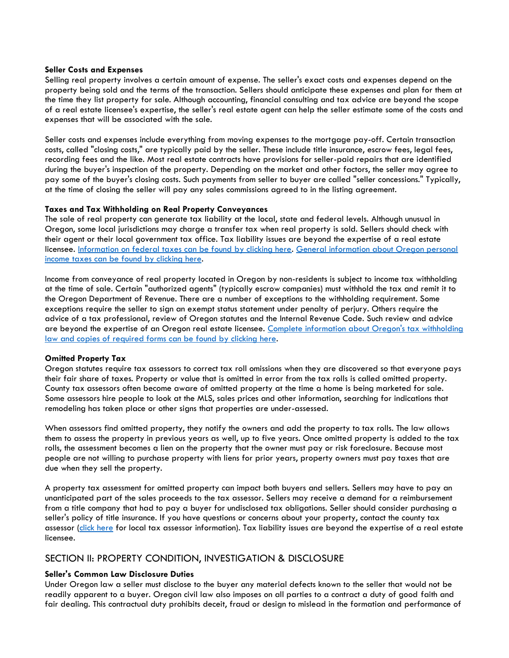#### **Seller Costs and Expenses**

Selling real property involves a certain amount of expense. The seller's exact costs and expenses depend on the property being sold and the terms of the transaction. Sellers should anticipate these expenses and plan for them at the time they list property for sale. Although accounting, financial consulting and tax advice are beyond the scope of a real estate licensee's expertise, the seller's real estate agent can help the seller estimate some of the costs and expenses that will be associated with the sale.

Seller costs and expenses include everything from moving expenses to the mortgage pay-off. Certain transaction costs, called "closing costs," are typically paid by the seller. These include title insurance, escrow fees, legal fees, recording fees and the like. Most real estate contracts have provisions for seller-paid repairs that are identified during the buyer's inspection of the property. Depending on the market and other factors, the seller may agree to pay some of the buyer's closing costs. Such payments from seller to buyer are called "seller concessions." Typically, at the time of closing the seller will pay any sales commissions agreed to in the listing agreement.

#### **Taxes and Tax Withholding on Real Property Conveyances**

The sale of real property can generate tax liability at the local, state and federal levels. Although unusual in Oregon, some local jurisdictions may charge a transfer tax when real property is sold. Sellers should check with their agent or their local government tax office. Tax liability issues are beyond the expertise of a real estate licensee. [Information on federal taxes can be found by clicking here.](http://www.irs.gov/publications/p523/index.html) [General information about Oregon personal](http://www.oregon.gov/DOR/Pages/index.aspx)  [income taxes can be found by clicking here.](http://www.oregon.gov/DOR/Pages/index.aspx)

Income from conveyance of real property located in Oregon by non-residents is subject to income tax withholding at the time of sale. Certain "authorized agents" (typically escrow companies) must withhold the tax and remit it to the Oregon Department of Revenue. There are a number of exceptions to the withholding requirement. Some exceptions require the seller to sign an exempt status statement under penalty of perjury. Others require the advice of a tax professional, review of Oregon statutes and the Internal Revenue Code. Such review and advice are beyond the expertise of an Oregon real estate licensee. [Complete information about Oregon's tax withholding](http://www.oregon.gov/DOR/Pages/index.aspx)  [law and copies of required forms can be found](http://www.oregon.gov/DOR/Pages/index.aspx) by clicking here.

## **Omitted Property Tax**

Oregon statutes require tax assessors to correct tax roll omissions when they are discovered so that everyone pays their fair share of taxes. Property or value that is omitted in error from the tax rolls is called omitted property. County tax assessors often become aware of omitted property at the time a home is being marketed for sale. Some assessors hire people to look at the MLS, sales prices and other information, searching for indications that remodeling has taken place or other signs that properties are under-assessed.

When assessors find omitted property, they notify the owners and add the property to tax rolls. The law allows them to assess the property in previous years as well, up to five years. Once omitted property is added to the tax rolls, the assessment becomes a lien on the property that the owner must pay or risk foreclosure. Because most people are not willing to purchase property with liens for prior years, property owners must pay taxes that are due when they sell the property.

A property tax assessment for omitted property can impact both buyers and sellers. Sellers may have to pay an unanticipated part of the sales proceeds to the tax assessor. Sellers may receive a demand for a reimbursement from a title company that had to pay a buyer for undisclosed tax obligations. Seller should consider purchasing a seller's policy of title insurance. If you have questions or concerns about your property, contact the county tax assessor [\(click here](https://www.oregon.gov/DOR/programs/property/Pages/county-contact.aspx) for local tax assessor information). Tax liability issues are beyond the expertise of a real estate licensee.

# SECTION II: PROPERTY CONDITION, INVESTIGATION & DISCLOSURE

## **Seller's Common Law Disclosure Duties**

Under Oregon law a seller must disclose to the buyer any material defects known to the seller that would not be readily apparent to a buyer. Oregon civil law also imposes on all parties to a contract a duty of good faith and fair dealing. This contractual duty prohibits deceit, fraud or design to mislead in the formation and performance of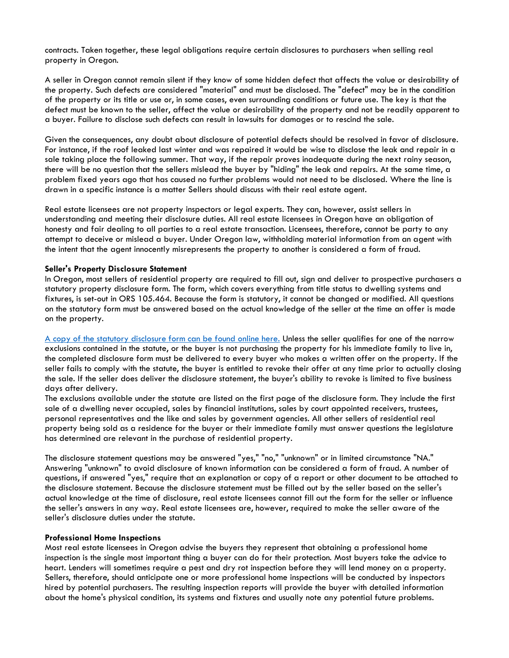contracts. Taken together, these legal obligations require certain disclosures to purchasers when selling real property in Oregon.

A seller in Oregon cannot remain silent if they know of some hidden defect that affects the value or desirability of the property. Such defects are considered "material" and must be disclosed. The "defect" may be in the condition of the property or its title or use or, in some cases, even surrounding conditions or future use. The key is that the defect must be known to the seller, affect the value or desirability of the property and not be readily apparent to a buyer. Failure to disclose such defects can result in lawsuits for damages or to rescind the sale.

Given the consequences, any doubt about disclosure of potential defects should be resolved in favor of disclosure. For instance, if the roof leaked last winter and was repaired it would be wise to disclose the leak and repair in a sale taking place the following summer. That way, if the repair proves inadequate during the next rainy season, there will be no question that the sellers mislead the buyer by "hiding" the leak and repairs. At the same time, a problem fixed years ago that has caused no further problems would not need to be disclosed. Where the line is drawn in a specific instance is a matter Sellers should discuss with their real estate agent.

Real estate licensees are not property inspectors or legal experts. They can, however, assist sellers in understanding and meeting their disclosure duties. All real estate licensees in Oregon have an obligation of honesty and fair dealing to all parties to a real estate transaction. Licensees, therefore, cannot be party to any attempt to deceive or mislead a buyer. Under Oregon law, withholding material information from an agent with the intent that the agent innocently misrepresents the property to another is considered a form of fraud.

#### **Seller's Property Disclosure Statement**

In Oregon, most sellers of residential property are required to fill out, sign and deliver to prospective purchasers a statutory property disclosure form. The form, which covers everything from title status to dwelling systems and fixtures, is set-out in ORS 105.464. Because the form is statutory, it cannot be changed or modified. All questions on the statutory form must be answered based on the actual knowledge of the seller at the time an offer is made on the property.

[A copy of the statutory disclosure form can be found online here.](https://www.oregonlaws.org/ors/105.464) Unless the seller qualifies for one of the narrow exclusions contained in the statute, or the buyer is not purchasing the property for his immediate family to live in, the completed disclosure form must be delivered to every buyer who makes a written offer on the property. If the seller fails to comply with the statute, the buyer is entitled to revoke their offer at any time prior to actually closing the sale. If the seller does deliver the disclosure statement, the buyer's ability to revoke is limited to five business days after delivery.

The exclusions available under the statute are listed on the first page of the disclosure form. They include the first sale of a dwelling never occupied, sales by financial institutions, sales by court appointed receivers, trustees, personal representatives and the like and sales by government agencies. All other sellers of residential real property being sold as a residence for the buyer or their immediate family must answer questions the legislature has determined are relevant in the purchase of residential property.

The disclosure statement questions may be answered "yes," "no," "unknown" or in limited circumstance "NA." Answering "unknown" to avoid disclosure of known information can be considered a form of fraud. A number of questions, if answered "yes," require that an explanation or copy of a report or other document to be attached to the disclosure statement. Because the disclosure statement must be filled out by the seller based on the seller's actual knowledge at the time of disclosure, real estate licensees cannot fill out the form for the seller or influence the seller's answers in any way. Real estate licensees are, however, required to make the seller aware of the seller's disclosure duties under the statute.

#### **Professional Home Inspections**

Most real estate licensees in Oregon advise the buyers they represent that obtaining a professional home inspection is the single most important thing a buyer can do for their protection. Most buyers take the advice to heart. Lenders will sometimes require a pest and dry rot inspection before they will lend money on a property. Sellers, therefore, should anticipate one or more professional home inspections will be conducted by inspectors hired by potential purchasers. The resulting inspection reports will provide the buyer with detailed information about the home's physical condition, its systems and fixtures and usually note any potential future problems.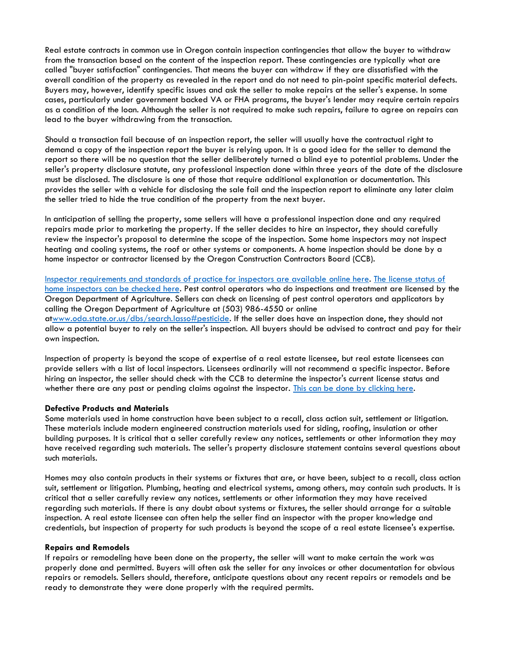Real estate contracts in common use in Oregon contain inspection contingencies that allow the buyer to withdraw from the transaction based on the content of the inspection report. These contingencies are typically what are called "buyer satisfaction" contingencies. That means the buyer can withdraw if they are dissatisfied with the overall condition of the property as revealed in the report and do not need to pin-point specific material defects. Buyers may, however, identify specific issues and ask the seller to make repairs at the seller's expense. In some cases, particularly under government backed VA or FHA programs, the buyer's lender may require certain repairs as a condition of the loan. Although the seller is not required to make such repairs, failure to agree on repairs can lead to the buyer withdrawing from the transaction.

Should a transaction fail because of an inspection report, the seller will usually have the contractual right to demand a copy of the inspection report the buyer is relying upon. It is a good idea for the seller to demand the report so there will be no question that the seller deliberately turned a blind eye to potential problems. Under the seller's property disclosure statute, any professional inspection done within three years of the date of the disclosure must be disclosed. The disclosure is one of those that require additional explanation or documentation. This provides the seller with a vehicle for disclosing the sale fail and the inspection report to eliminate any later claim the seller tried to hide the true condition of the property from the next buyer.

In anticipation of selling the property, some sellers will have a professional inspection done and any required repairs made prior to marketing the property. If the seller decides to hire an inspector, they should carefully review the inspector's proposal to determine the scope of the inspection. Some home inspectors may not inspect heating and cooling systems, the roof or other systems or components. A home inspection should be done by a home inspector or contractor licensed by the Oregon Construction Contractors Board (CCB).

[Inspector requirements and standards of practice for inspectors are available online here.](http://www.oregon.gov/CCB/licensing/Pages/home-inspectors.aspx) [The license status of](http://www.ccb.state.or.us/search/)  [home inspectors can be checked here.](http://www.ccb.state.or.us/search/) Pest control operators who do inspections and treatment are licensed by the Oregon Department of Agriculture. Sellers can check on licensing of pest control operators and applicators by calling the Oregon Department of Agriculture at (503) 986-4550 or online a[twww.oda.state.or.us/dbs/search.lasso#pesticide.](http://oda.state.or.us/dbs/search.lasso#pesticide) If the seller does have an inspection done, they should not allow a potential buyer to rely on the seller's inspection. All buyers should be advised to contract and pay for their own inspection.

Inspection of property is beyond the scope of expertise of a real estate licensee, but real estate licensees can provide sellers with a list of local inspectors. Licensees ordinarily will not recommend a specific inspector. Before hiring an inspector, the seller should check with the CCB to determine the inspector's current license status and whether there are any past or pending claims against the inspector. [This can be done by clicking here.](http://www.ccb.state.or.us/search/)

#### **Defective Products and Materials**

Some materials used in home construction have been subject to a recall, class action suit, settlement or litigation. These materials include modern engineered construction materials used for siding, roofing, insulation or other building purposes. It is critical that a seller carefully review any notices, settlements or other information they may have received regarding such materials. The seller's property disclosure statement contains several questions about such materials.

Homes may also contain products in their systems or fixtures that are, or have been, subject to a recall, class action suit, settlement or litigation. Plumbing, heating and electrical systems, among others, may contain such products. It is critical that a seller carefully review any notices, settlements or other information they may have received regarding such materials. If there is any doubt about systems or fixtures, the seller should arrange for a suitable inspection. A real estate licensee can often help the seller find an inspector with the proper knowledge and credentials, but inspection of property for such products is beyond the scope of a real estate licensee's expertise.

#### **Repairs and Remodels**

If repairs or remodeling have been done on the property, the seller will want to make certain the work was properly done and permitted. Buyers will often ask the seller for any invoices or other documentation for obvious repairs or remodels. Sellers should, therefore, anticipate questions about any recent repairs or remodels and be ready to demonstrate they were done properly with the required permits.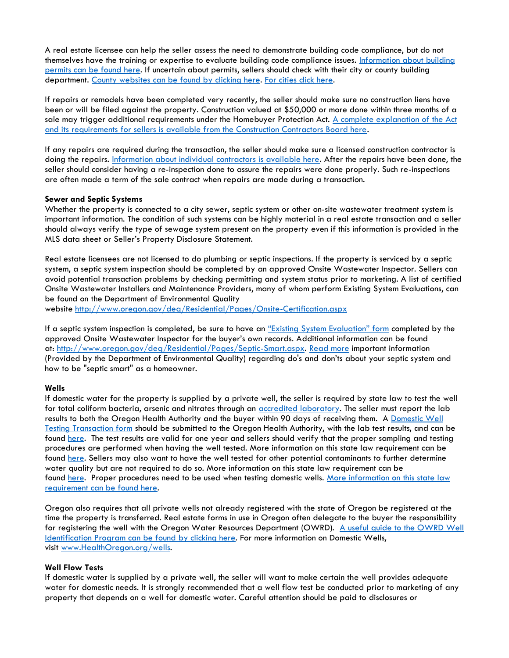A real estate licensee can help the seller assess the need to demonstrate building code compliance, but do not themselves have the training or expertise to evaluate building code compliance issues. [Information about building](http://www.permitsprotect.info/)  [permits can be found here.](http://www.permitsprotect.info/) If uncertain about permits, sellers should check with their city or county building department. [County websites can be found by clicking here.](http://oregoncounties.org/) [For cities click here.](http://www.orcities.org/CityResources/LOCCityDirectory/tabid/845/ctl/ShortcutResults/mid/13270/language/en-US/Default.aspx?view=4)

If repairs or remodels have been completed very recently, the seller should make sure no construction liens have been or will be filed against the property. Construction valued at \$50,000 or more done within three months of a sale may trigger additional requirements under the Homebuyer Protection Act. A complete explanation of the Act [and its requirements for sellers is available from the Construction Contractors Board here.](https://ccbed.ccb.state.or.us/WebPDF/CCB/Publications/HPAform.pdf)

If any repairs are required during the transaction, the seller should make sure a licensed construction contractor is doing the repairs. [Information about individual contractors is available here.](https://www.ccb.state.or.us/search/) After the repairs have been done, the seller should consider having a re-inspection done to assure the repairs were done properly. Such re-inspections are often made a term of the sale contract when repairs are made during a transaction.

#### **Sewer and Septic Systems**

Whether the property is connected to a city sewer, septic system or other on-site wastewater treatment system is important information. The condition of such systems can be highly material in a real estate transaction and a seller should always verify the type of sewage system present on the property even if this information is provided in the MLS data sheet or Seller's Property Disclosure Statement.

Real estate licensees are not licensed to do plumbing or septic inspections. If the property is serviced by a septic system, a septic system inspection should be completed by an approved Onsite Wastewater Inspector. Sellers can avoid potential transaction problems by checking permitting and system status prior to marketing. A list of certified Onsite Wastewater Installers and Maintenance Providers, many of whom perform Existing System Evaluations, can be found on the Department of Environmental Quality

website <http://www.oregon.gov/deq/Residential/Pages/Onsite-Certification.aspx>

If a septic system inspection is completed, be sure to have an ["Existing System Evaluation" form](http://www.oregon.gov/deq/FilterDocs/ESERform.pdf) completed by the approved Onsite Wastewater Inspector for the buyer's own records. Additional information can be found at: [http://www.oregon.gov/deq/Residential/Pages/Septic-Smart.aspx.](http://www.oregon.gov/deq/Residential/Pages/Septic-Smart.aspx) [Read more](http://oregonrealtors.org/sites/default/files/Brochure-Home-Owner.pdf) important information (Provided by the Department of Environmental Quality) regarding do's and don'ts about your septic system and how to be "septic smart" as a homeowner.

#### **Wells**

If domestic water for the property is supplied by a private well, the seller is required by state law to test the well for total coliform bacteria, arsenic and nitrates through an **accredited laboratory**. The seller must report the lab results to both the Oregon Health Authority and the buyer within 90 days of receiving them. A [Domestic Well](https://apps.state.or.us/Forms/Served/le8313.pdf)  [Testing Transaction form](https://apps.state.or.us/Forms/Served/le8313.pdf) should be submitted to the Oregon Health Authority, with the lab test results, and can be found [here.](http://public.health.oregon.gov/HealthyEnvironments/DrinkingWater/SourceWater/DomesticWellSafety/Pages/index.aspx) The test results are valid for one year and sellers should verify that the proper sampling and testing procedures are performed when having the well tested. More information on this state law requirement can be found [here.](http://public.health.oregon.gov/HealthyEnvironments/DrinkingWater/Monitoring) Sellers may also want to have the well tested for other potential contaminants to further determine water quality but are not required to do so. More information on this state law requirement can be found [here.](http://public.health.oregon.gov/HealthyEnvironments/DrinkingWater/Monitoring) Proper procedures need to be used when testing domestic wells. More information on this state law [requirement can be found here.](https://public.health.oregon.gov/HealthyEnvironments/DrinkingWater/SourceWater/DomesticWellSafety/Pages/Testing-Regulations.aspx)

Oregon also requires that all private wells not already registered with the state of Oregon be registered at the time the property is transferred. Real estate forms in use in Oregon often delegate to the buyer the responsibility for registering the well with the Oregon Water Resources Department (OWRD). [A useful guide to the OWRD Well](http://www.oregon.gov/owrd/pages/gw/well_id.aspx)  [Identification Program can be found by clicking here.](http://www.oregon.gov/owrd/pages/gw/well_id.aspx) For more information on Domestic Wells, visit [www.HealthOregon.org/wells.](http://www.healthoregon.org/wells)

#### **Well Flow Tests**

If domestic water is supplied by a private well, the seller will want to make certain the well provides adequate water for domestic needs. It is strongly recommended that a well flow test be conducted prior to marketing of any property that depends on a well for domestic water. Careful attention should be paid to disclosures or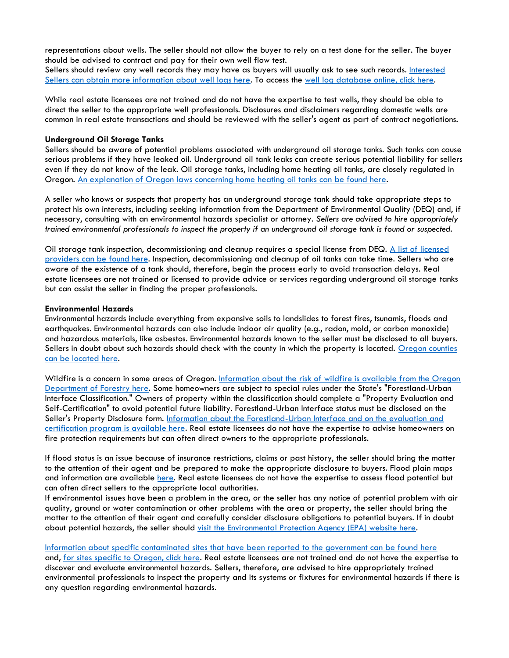representations about wells. The seller should not allow the buyer to rely on a test done for the seller. The buyer should be advised to contract and pay for their own well flow test.

Sellers should review any well records they may have as buyers will usually ask to see such records. Interested [Sellers can obtain more information about well logs here.](http://apps.wrd.state.or.us/apps/gw/well_log/well_log_faq.aspx) To access the [well log database online, click here.](http://apps.wrd.state.or.us/apps/gw/well_log)

While real estate licensees are not trained and do not have the expertise to test wells, they should be able to direct the seller to the appropriate well professionals. Disclosures and disclaimers regarding domestic wells are common in real estate transactions and should be reviewed with the seller's agent as part of contract negotiations.

#### **Underground Oil Storage Tanks**

Sellers should be aware of potential problems associated with underground oil storage tanks. Such tanks can cause serious problems if they have leaked oil. Underground oil tank leaks can create serious potential liability for sellers even if they do not know of the leak. Oil storage tanks, including home heating oil tanks, are closely regulated in Oregon. [An explanation of Oregon laws concerning home heating oil tanks can be found here.](http://www.oregon.gov/deq/tanks/Pages/hot.aspx)

A seller who knows or suspects that property has an underground storage tank should take appropriate steps to protect his own interests, including seeking information from the Department of Environmental Quality (DEQ) and, if necessary, consulting with an environmental hazards specialist or attorney. *Sellers are advised to hire appropriately trained environmental professionals to inspect the property if an underground oil storage tank is found or suspected.*

Oil storage tank inspection, decommissioning and cleanup requires a special license from DEQ. A list of licensed [providers can be found here.](http://www.deq.state.or.us/lq/pubs/docs/tanks/hot/LicensedServiceProviders.pdf) Inspection, decommissioning and cleanup of oil tanks can take time. Sellers who are aware of the existence of a tank should, therefore, begin the process early to avoid transaction delays. Real estate licensees are not trained or licensed to provide advice or services regarding underground oil storage tanks but can assist the seller in finding the proper professionals.

#### **Environmental Hazards**

Environmental hazards include everything from expansive soils to landslides to forest fires, tsunamis, floods and earthquakes. Environmental hazards can also include indoor air quality (e.g., radon, mold, or carbon monoxide) and hazardous materials, like asbestos. Environmental hazards known to the seller must be disclosed to all buyers. Sellers in doubt about such hazards should check with the county in which the property is located. [Oregon counties](http://oregoncounties.org/)  [can be located here.](http://oregoncounties.org/)

Wildfire is a concern in some areas of Oregon. Information about the risk of wildfire is available from the Oregon [Department of Forestry here.](http://www.oregon.gov/ODF/FIRE) Some homeowners are subject to special rules under the State's "Forestland-Urban Interface Classification." Owners of property within the classification should complete a "Property Evaluation and Self-Certification" to avoid potential future liability. Forestland-Urban Interface status must be disclosed on the Seller's Property Disclosure form. [Information about the Forestland-Urban Interface and on the evaluation and](http://www.oregon.gov/ODF/FIRE)  [certification program is available here.](http://www.oregon.gov/ODF/FIRE) Real estate licensees do not have the expertise to advise homeowners on fire protection requirements but can often direct owners to the appropriate professionals.

If flood status is an issue because of insurance restrictions, claims or past history, the seller should bring the matter to the attention of their agent and be prepared to make the appropriate disclosure to buyers. Flood plain maps and information are available [here.](https://msc.fema.gov/portal) Real estate licensees do not have the expertise to assess flood potential but can often direct sellers to the appropriate local authorities.

If environmental issues have been a problem in the area, or the seller has any notice of potential problem with air quality, ground or water contamination or other problems with the area or property, the seller should bring the matter to the attention of their agent and carefully consider disclosure obligations to potential buyers. If in doubt about potential hazards, the seller should [visit the Environmental Protection Agency \(EPA\) website here.](https://www3.epa.gov/)

#### [Information about specific contaminated sites that have been reported to the government can be found here](http://www.epa.gov/superfund/sites/)

and, [for sites specific to Oregon, click here.](http://public.health.oregon.gov/HealthyEnvironments/TrackingAssessment/EnvironmentalHealthAssessment/Pages/sites.aspx) Real estate licensees are not trained and do not have the expertise to discover and evaluate environmental hazards. Sellers, therefore, are advised to hire appropriately trained environmental professionals to inspect the property and its systems or fixtures for environmental hazards if there is any question regarding environmental hazards.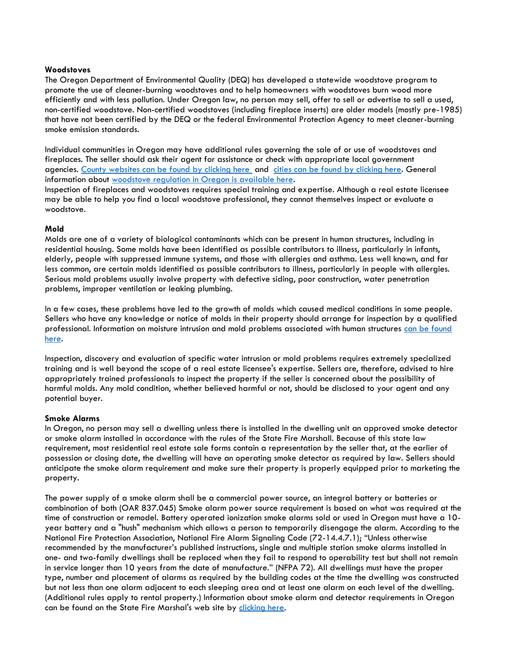#### **Woodstoves**

The Oregon Department of Environmental Quality (DEQ) has developed a statewide woodstove program to promote the use of cleaner-burning woodstoves and to help homeowners with woodstoves burn wood more efficiently and with less pollution. Under Oregon law, no person may sell, offer to sell or advertise to sell a used, non-certified woodstove. Non-certified woodstoves (including fireplace inserts) are older models (mostly pre-1985) that have not been certified by the DEQ or the federal Environmental Protection Agency to meet cleaner-burning smoke emission standards.

Individual communities in Oregon may have additional rules governing the sale of or use of woodstoves and fireplaces. The seller should ask their agent for assistance or check with appropriate local government agencies. [County websites can be found by clicking here](http://oregoncounties.org/) and [cities can be found by clicking here.](http://www.orcities.org/CityResources/LOCCityDirectory/tabid/845/ctl/ShortcutResults/mid/13270/language/en-US/Default.aspx?view=4) General information about [woodstove regulation in Oregon is available here.](https://www.oregon.gov/deq/Residential/Pages/Woodstoves.aspx)

Inspection of fireplaces and woodstoves requires special training and expertise. Although a real estate licensee may be able to help you find a local woodstove professional, they cannot themselves inspect or evaluate a woodstove.

#### **Mold**

Molds are one of a variety of biological contaminants which can be present in human structures, including in residential housing. Some molds have been identified as possible contributors to illness, particularly in infants, elderly, people with suppressed immune systems, and those with allergies and asthma. Less well known, and far less common, are certain molds identified as possible contributors to illness, particularly in people with allergies. Serious mold problems usually involve property with defective siding, poor construction, water penetration problems, improper ventilation or leaking plumbing.

In a few cases, these problems have led to the growth of molds which caused medical conditions in some people. Sellers who have any knowledge or notice of molds in their property should arrange for inspection by a qualified professional. Information on moisture intrusion and mold problems associated with human structures can be found [here.](http://www.epa.gov/mold/moldguide.html)

Inspection, discovery and evaluation of specific water intrusion or mold problems requires extremely specialized training and is well beyond the scope of a real estate licensee's expertise. Sellers are, therefore, advised to hire appropriately trained professionals to inspect the property if the seller is concerned about the possibility of harmful molds. Any mold condition, whether believed harmful or not, should be disclosed to your agent and any potential buyer.

#### **Smoke Alarms**

In Oregon, no person may sell a dwelling unless there is installed in the dwelling unit an approved smoke detector or smoke alarm installed in accordance with the rules of the State Fire Marshall. Because of this state law requirement, most residential real estate sale forms contain a representation by the seller that, at the earlier of possession or closing date, the dwelling will have an operating smoke detector as required by law. Sellers should anticipate the smoke alarm requirement and make sure their property is properly equipped prior to marketing the property.

The power supply of a smoke alarm shall be a commercial power source, an integral battery or batteries or combination of both (OAR 837.045) Smoke alarm power source requirement is based on what was required at the time of construction or remodel. Battery operated ionization smoke alarms sold or used in Oregon must have a 10 year battery and a "hush" mechanism which allows a person to temporarily disengage the alarm. According to the National Fire Protection Association, National Fire Alarm Signaling Code (72-14.4.7.1); "Unless otherwise recommended by the manufacturer's published instructions, single and multiple station smoke alarms installed in one- and two-family dwellings shall be replaced when they fail to respond to operability test but shall not remain in service longer than 10 years from the date of manufacture." (NFPA 72). All dwellings must have the proper type, number and placement of alarms as required by the building codes at the time the dwelling was constructed but not less than one alarm adjacent to each sleeping area and at least one alarm on each level of the dwelling. (Additional rules apply to rental property.) Information about smoke alarm and detector requirements in Oregon can be found on the State Fire Marshal's web site by [clicking here.](http://www.oregon.gov/OSP/SFM/pages/index.aspx)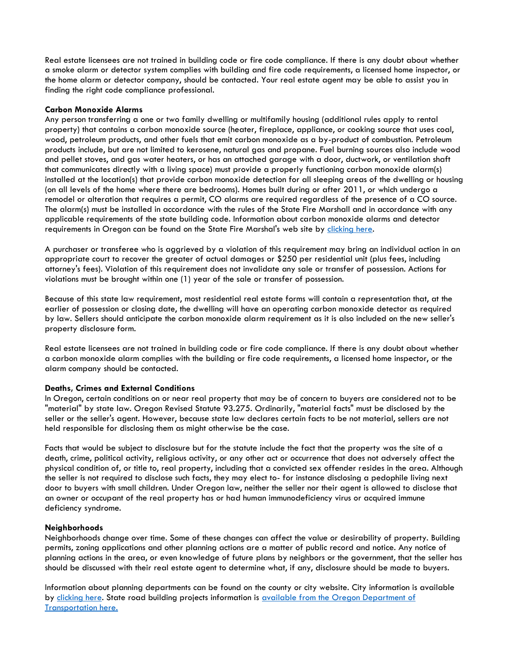Real estate licensees are not trained in building code or fire code compliance. If there is any doubt about whether a smoke alarm or detector system complies with building and fire code requirements, a licensed home inspector, or the home alarm or detector company, should be contacted. Your real estate agent may be able to assist you in finding the right code compliance professional.

#### **Carbon Monoxide Alarms**

Any person transferring a one or two family dwelling or multifamily housing (additional rules apply to rental property) that contains a carbon monoxide source (heater, fireplace, appliance, or cooking source that uses coal, wood, petroleum products, and other fuels that emit carbon monoxide as a by-product of combustion. Petroleum products include, but are not limited to kerosene, natural gas and propane. Fuel burning sources also include wood and pellet stoves, and gas water heaters, or has an attached garage with a door, ductwork, or ventilation shaft that communicates directly with a living space) must provide a properly functioning carbon monoxide alarm(s) installed at the location(s) that provide carbon monoxide detection for all sleeping areas of the dwelling or housing (on all levels of the home where there are bedrooms). Homes built during or after 2011, or which undergo a remodel or alteration that requires a permit, CO alarms are required regardless of the presence of a CO source. The alarm(s) must be installed in accordance with the rules of the State Fire Marshall and in accordance with any applicable requirements of the state building code. Information about carbon monoxide alarms and detector requirements in Oregon can be found on the State Fire Marshal's web site by [clicking here.](http://www.oregon.gov/osp/SFM/Pages/CommedCOProg.aspx)

A purchaser or transferee who is aggrieved by a violation of this requirement may bring an individual action in an appropriate court to recover the greater of actual damages or \$250 per residential unit (plus fees, including attorney's fees). Violation of this requirement does not invalidate any sale or transfer of possession. Actions for violations must be brought within one (1) year of the sale or transfer of possession.

Because of this state law requirement, most residential real estate forms will contain a representation that, at the earlier of possession or closing date, the dwelling will have an operating carbon monoxide detector as required by law. Sellers should anticipate the carbon monoxide alarm requirement as it is also included on the new seller's property disclosure form.

Real estate licensees are not trained in building code or fire code compliance. If there is any doubt about whether a carbon monoxide alarm complies with the building or fire code requirements, a licensed home inspector, or the alarm company should be contacted.

#### **Deaths, Crimes and External Conditions**

In Oregon, certain conditions on or near real property that may be of concern to buyers are considered not to be "material" by state law. Oregon Revised Statute 93.275. Ordinarily, "material facts" must be disclosed by the seller or the seller's agent. However, because state law declares certain facts to be not material, sellers are not held responsible for disclosing them as might otherwise be the case.

Facts that would be subject to disclosure but for the statute include the fact that the property was the site of a death, crime, political activity, religious activity, or any other act or occurrence that does not adversely affect the physical condition of, or title to, real property, including that a convicted sex offender resides in the area. Although the seller is not required to disclose such facts, they may elect to- for instance disclosing a pedophile living next door to buyers with small children. Under Oregon law, neither the seller nor their agent is allowed to disclose that an owner or occupant of the real property has or had human immunodeficiency virus or acquired immune deficiency syndrome.

#### **Neighborhoods**

Neighborhoods change over time. Some of these changes can affect the value or desirability of property. Building permits, zoning applications and other planning actions are a matter of public record and notice. Any notice of planning actions in the area, or even knowledge of future plans by neighbors or the government, that the seller has should be discussed with their real estate agent to determine what, if any, disclosure should be made to buyers.

Information about planning departments can be found on the county or city website. City information is available by [clicking here.](http://www.orcities.org/CityResources/LOCCityDirectory/tabid/845/ctl/ShortcutResults/mid/13270/language/en-US/Default.aspx?view=4) State road building projects information is available from the Oregon Department of [Transportation here.](http://www.oregon.gov/odot/projects/Pages/default.aspx)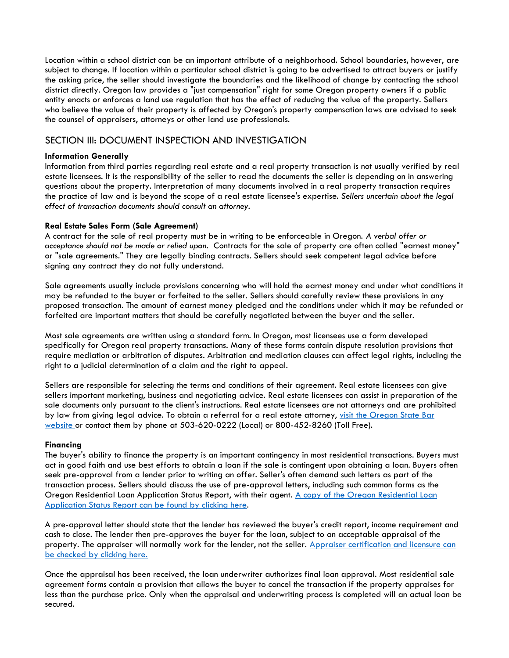Location within a school district can be an important attribute of a neighborhood. School boundaries, however, are subject to change. If location within a particular school district is going to be advertised to attract buyers or justify the asking price, the seller should investigate the boundaries and the likelihood of change by contacting the school district directly. Oregon law provides a "just compensation" right for some Oregon property owners if a public entity enacts or enforces a land use regulation that has the effect of reducing the value of the property. Sellers who believe the value of their property is affected by Oregon's property compensation laws are advised to seek the counsel of appraisers, attorneys or other land use professionals.

# SECTION III: DOCUMENT INSPECTION AND INVESTIGATION

#### **Information Generally**

Information from third parties regarding real estate and a real property transaction is not usually verified by real estate licensees. It is the responsibility of the seller to read the documents the seller is depending on in answering questions about the property. Interpretation of many documents involved in a real property transaction requires the practice of law and is beyond the scope of a real estate licensee's expertise. *Sellers uncertain about the legal effect of transaction documents should consult an attorney.*

#### **Real Estate Sales Form (Sale Agreement)**

A contract for the sale of real property must be in writing to be enforceable in Oregon. *A verbal offer or acceptance should not be made or relied upon.* Contracts for the sale of property are often called "earnest money" or "sale agreements." They are legally binding contracts. Sellers should seek competent legal advice before signing any contract they do not fully understand.

Sale agreements usually include provisions concerning who will hold the earnest money and under what conditions it may be refunded to the buyer or forfeited to the seller. Sellers should carefully review these provisions in any proposed transaction. The amount of earnest money pledged and the conditions under which it may be refunded or forfeited are important matters that should be carefully negotiated between the buyer and the seller.

Most sale agreements are written using a standard form. In Oregon, most licensees use a form developed specifically for Oregon real property transactions. Many of these forms contain dispute resolution provisions that require mediation or arbitration of disputes. Arbitration and mediation clauses can affect legal rights, including the right to a judicial determination of a claim and the right to appeal.

Sellers are responsible for selecting the terms and conditions of their agreement. Real estate licensees can give sellers important marketing, business and negotiating advice. Real estate licensees can assist in preparation of the sale documents only pursuant to the client's instructions. Real estate licensees are not attorneys and are prohibited by law from giving legal advice. To obtain a referral for a real estate attorney, visit the Oregon State Bar [website](http://www.osbar.org/public/legalhelp.html) or contact them by phone at 503-620-0222 (Local) or 800-452-8260 (Toll Free).

#### **Financing**

The buyer's ability to finance the property is an important contingency in most residential transactions. Buyers must act in good faith and use best efforts to obtain a loan if the sale is contingent upon obtaining a loan. Buyers often seek pre-approval from a lender prior to writing an offer. Seller's often demand such letters as part of the transaction process. Sellers should discuss the use of pre-approval letters, including such common forms as the Oregon Residential Loan Application Status Report, with their agent. A copy of the Oregon Residential Loan [Application Status Report can be found by clicking here.](http://oregonrealtors.org/sites/default/files/Oregon_Residential_Loan_Application_Status.doc)

A pre-approval letter should state that the lender has reviewed the buyer's credit report, income requirement and cash to close. The lender then pre-approves the buyer for the loan, subject to an acceptable appraisal of the property. The appraiser will normally work for the lender, not the seller. Appraiser certification and licensure can [be checked by clicking here.](https://public.orlicensing.oregon.gov/ACLBPublic/LPRBrowser.aspx)

Once the appraisal has been received, the loan underwriter authorizes final loan approval. Most residential sale agreement forms contain a provision that allows the buyer to cancel the transaction if the property appraises for less than the purchase price. Only when the appraisal and underwriting process is completed will an actual loan be secured.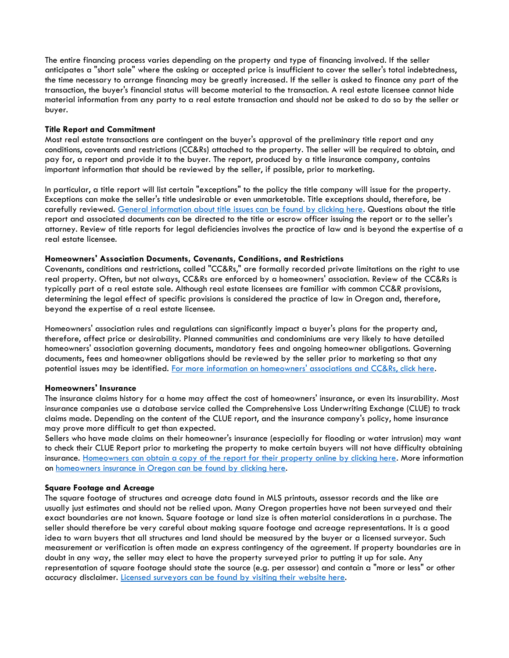The entire financing process varies depending on the property and type of financing involved. If the seller anticipates a "short sale" where the asking or accepted price is insufficient to cover the seller's total indebtedness, the time necessary to arrange financing may be greatly increased. If the seller is asked to finance any part of the transaction, the buyer's financial status will become material to the transaction. A real estate licensee cannot hide material information from any party to a real estate transaction and should not be asked to do so by the seller or buyer.

#### **Title Report and Commitment**

Most real estate transactions are contingent on the buyer's approval of the preliminary title report and any conditions, covenants and restrictions (CC&Rs) attached to the property. The seller will be required to obtain, and pay for, a report and provide it to the buyer. The report, produced by a title insurance company, contains important information that should be reviewed by the seller, if possible, prior to marketing.

In particular, a title report will list certain "exceptions" to the policy the title company will issue for the property. Exceptions can make the seller's title undesirable or even unmarketable. Title exceptions should, therefore, be carefully reviewed. [General information about title issues can be found by clicking here.](http://www.firstam.com/title/resources/reference-information/title-insurance-reference-articles/q-a-about-title-insurance.html) Questions about the title report and associated documents can be directed to the title or escrow officer issuing the report or to the seller's attorney. Review of title reports for legal deficiencies involves the practice of law and is beyond the expertise of a real estate licensee.

#### **Homeowners' Association Documents, Covenants, Conditions, and Restrictions**

Covenants, conditions and restrictions, called "CC&Rs," are formally recorded private limitations on the right to use real property. Often, but not always, CC&Rs are enforced by a homeowners' association. Review of the CC&Rs is typically part of a real estate sale. Although real estate licensees are familiar with common CC&R provisions, determining the legal effect of specific provisions is considered the practice of law in Oregon and, therefore, beyond the expertise of a real estate licensee.

Homeowners' association rules and regulations can significantly impact a buyer's plans for the property and, therefore, affect price or desirability. Planned communities and condominiums are very likely to have detailed homeowners' association governing documents, mandatory fees and ongoing homeowner obligations. Governing documents, fees and homeowner obligations should be reviewed by the seller prior to marketing so that any potential issues may be identified. [For more information on homeowners' associations and CC&Rs, click here.](http://www.realtor.com/BASICS/condos/ccr.asp)

#### **Homeowners' Insurance**

The insurance claims history for a home may affect the cost of homeowners' insurance, or even its insurability. Most insurance companies use a database service called the Comprehensive Loss Underwriting Exchange (CLUE) to track claims made. Depending on the content of the CLUE report, and the insurance company's policy, home insurance may prove more difficult to get than expected.

Sellers who have made claims on their homeowner's insurance (especially for flooding or water intrusion) may want to check their CLUE Report prior to marketing the property to make certain buyers will not have difficulty obtaining insurance. [Homeowners can obtain a copy of the report for their property online by clicking here.](https://personalreports.lexisnexis.com/) More information on [homeowners insurance in Oregon can be found by](http://www.insuranceoregon.org/) clicking here.

#### **Square Footage and Acreage**

The square footage of structures and acreage data found in MLS printouts, assessor records and the like are usually just estimates and should not be relied upon. Many Oregon properties have not been surveyed and their exact boundaries are not known. Square footage or land size is often material considerations in a purchase. The seller should therefore be very careful about making square footage and acreage representations. It is a good idea to warn buyers that all structures and land should be measured by the buyer or a licensed surveyor. Such measurement or verification is often made an express contingency of the agreement. If property boundaries are in doubt in any way, the seller may elect to have the property surveyed prior to putting it up for sale. Any representation of square footage should state the source (e.g. per assessor) and contain a "more or less" or other accuracy disclaimer. [Licensed surveyors can be found by visiting their website here.](http://www.oregon.gov/Osbeels/Pages/Search_License.aspx)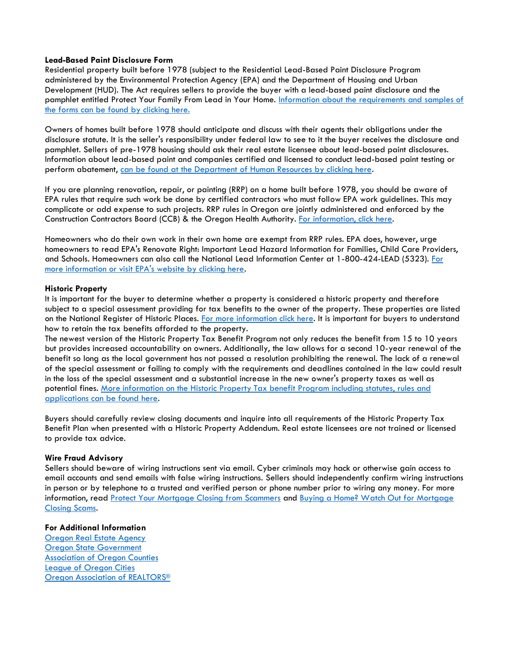#### **Lead-Based Paint Disclosure Form**

Residential property built before 1978 (subject to the Residential Lead-Based Paint Disclosure Program administered by the Environmental Protection Agency (EPA) and the Department of Housing and Urban Development (HUD). The Act requires sellers to provide the buyer with a lead-based paint disclosure and the pamphlet entitled Protect Your Family From Lead in Your Home. [Information about the requirements and samples of](https://www.hud.gov/program_offices/healthy_homes/healthyhomes/lead)  [the forms can be found by clicking here.](https://www.hud.gov/program_offices/healthy_homes/healthyhomes/lead)

Owners of homes built before 1978 should anticipate and discuss with their agents their obligations under the disclosure statute. It is the seller's responsibility under federal law to see to it the buyer receives the disclosure and pamphlet. Sellers of pre-1978 housing should ask their real estate licensee about lead-based paint disclosures. Information about lead-based paint and companies certified and licensed to conduct lead-based paint testing or perform abatement, [can be found at the Department of Human Resources by clicking here.](http://public.health.oregon.gov/HealthyEnvironments/HealthyNeighborhoods/LeadPoisoning/InspectionAbatementProfessionals/Pages/certlist.aspx)

If you are planning renovation, repair, or painting (RRP) on a home built before 1978, you should be aware of EPA rules that require such work be done by certified contractors who must follow EPA work guidelines. This may complicate or add expense to such projects. RRP rules in Oregon are jointly administered and enforced by the Construction Contractors Board (CCB) & the Oregon Health Authority. [For information, click here.](http://public.health.oregon.gov/PHD/Directory/Pages/program.aspx?pid=73)

Homeowners who do their own work in their own home are exempt from RRP rules. EPA does, however, urge homeowners to read EPA's Renovate Right: Important Lead Hazard Information for Families, Child Care Providers, and Schools. Homeowners can also call the National Lead Information Center at 1-800-424-LEAD (5323). [For](http://www.epa.gov/lead/pubs/renovation.htm)  [more information or visit EPA's website by clicking here.](http://www.epa.gov/lead/pubs/renovation.htm)

#### **Historic Property**

It is important for the buyer to determine whether a property is considered a historic property and therefore subject to a special assessment providing for tax benefits to the owner of the property. These properties are listed on the National Register of Historic Places. [For more information click here.](http://www.oregonheritage.org/OPRD/HCD/NATREG/index.shtml) It is important for buyers to understand how to retain the tax benefits afforded to the property.

The newest version of the Historic Property Tax Benefit Program not only reduces the benefit from 15 to 10 years but provides increased accountability on owners. Additionally, the law allows for a second 10-year renewal of the benefit so long as the local government has not passed a resolution prohibiting the renewal. The lack of a renewal of the special assessment or failing to comply with the requirements and deadlines contained in the law could result in the loss of the special assessment and a substantial increase in the new owner's property taxes as well as potential fines. [More information on the Historic Property Tax benefit Program including statutes, rules and](http://www.oregon.gov/oprd/HCD/SHPO/pages/tax.aspx)  [applications can be found here.](http://www.oregon.gov/oprd/HCD/SHPO/pages/tax.aspx)

Buyers should carefully review closing documents and inquire into all requirements of the Historic Property Tax Benefit Plan when presented with a Historic Property Addendum. Real estate licensees are not trained or licensed to provide tax advice.

#### **Wire Fraud Advisory**

Sellers should beware of wiring instructions sent via email. Cyber criminals may hack or otherwise gain access to email accounts and send emails with false wiring instructions. Sellers should independently confirm wiring instructions in person or by telephone to a trusted and verified person or phone number prior to wiring any money. For more information, read [Protect Your Mortgage Closing from Scammers](https://www.consumer.ftc.gov/blog/2017/06/protect-your-mortgage-closing-scammers) and Buying a Home? Watch Out for Mortgage [Closing Scams.](https://www.consumerfinance.gov/about-us/blog/buying-home-watch-out-mortgage-closing-scams/)

#### **For Additional Information**

Oregon [Real Estate Agency](http://www.rea.state.or.us/) [Oregon State Government](http://www.oregon.gov/) [Association of Oregon Counties](http://oregoncounties.org/) [League of Oregon Cities](http://www.orcities.org/) [Oregon Association of REALTORS](http://www.oregonrealtors.org/)®